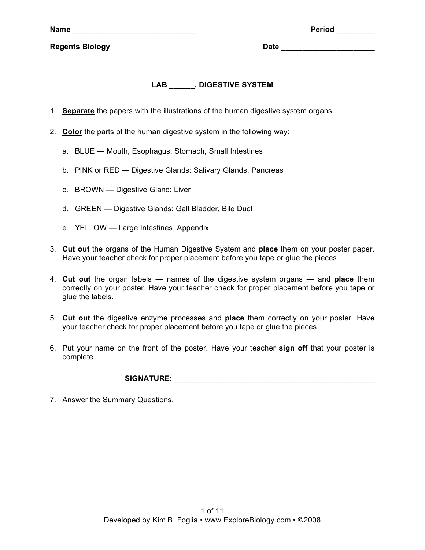**Name \_\_\_\_\_\_\_\_\_\_\_\_\_\_\_\_\_\_\_\_\_\_\_\_\_\_\_\_\_ Period \_\_\_\_\_\_\_\_\_**

## **Regents Biology Date \_\_\_\_\_\_\_\_\_\_\_\_\_\_\_\_\_\_\_\_\_**

## **LAB \_\_\_\_\_\_. DIGESTIVE SYSTEM**

- 1. **Separate** the papers with the illustrations of the human digestive system organs.
- 2. **Color** the parts of the human digestive system in the following way:
	- a. BLUE Mouth, Esophagus, Stomach, Small Intestines
	- b. PINK or RED Digestive Glands: Salivary Glands, Pancreas
	- c. BROWN Digestive Gland: Liver
	- d. GREEN Digestive Glands: Gall Bladder, Bile Duct
	- e. YELLOW Large Intestines, Appendix
- 3. **Cut out** the organs of the Human Digestive System and **place** them on your poster paper. Have your teacher check for proper placement before you tape or glue the pieces.
- 4. **Cut out** the organ labels names of the digestive system organs and **place** them correctly on your poster. Have your teacher check for proper placement before you tape or glue the labels.
- 5. **Cut out** the digestive enzyme processes and **place** them correctly on your poster. Have your teacher check for proper placement before you tape or glue the pieces.
- 6. Put your name on the front of the poster. Have your teacher **sign off** that your poster is complete.

## **SIGNATURE:**  $\blacksquare$

7. Answer the Summary Questions.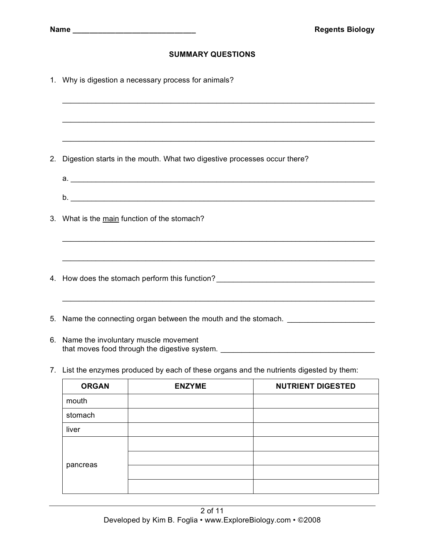## **SUMMARY QUESTIONS**

|    | 1. Why is digestion a necessary process for animals?                                                                                                                                              |                                                                                  |                          |  |
|----|---------------------------------------------------------------------------------------------------------------------------------------------------------------------------------------------------|----------------------------------------------------------------------------------|--------------------------|--|
|    |                                                                                                                                                                                                   |                                                                                  |                          |  |
|    |                                                                                                                                                                                                   |                                                                                  |                          |  |
| 2. | Digestion starts in the mouth. What two digestive processes occur there?                                                                                                                          |                                                                                  |                          |  |
|    |                                                                                                                                                                                                   |                                                                                  |                          |  |
|    |                                                                                                                                                                                                   |                                                                                  |                          |  |
|    | 3. What is the main function of the stomach?                                                                                                                                                      |                                                                                  |                          |  |
|    |                                                                                                                                                                                                   | ,我们也不能在这里的时候,我们也不能在这里的时候,我们也不能会在这里的时候,我们也不能会在这里的时候,我们也不能会在这里的时候,我们也不能会在这里的时候,我们也 |                          |  |
|    | 4. How does the stomach perform this function? _________________________________                                                                                                                  |                                                                                  |                          |  |
|    | a se provincia de la construcción de la construcción de la construcción de la construcción de la construcción<br>5. Name the connecting organ between the mouth and the stomach. ________________ |                                                                                  |                          |  |
|    | 6. Name the involuntary muscle movement<br>that moves food through the digestive system. ___________________________________                                                                      |                                                                                  |                          |  |
|    | 7. List the enzymes produced by each of these organs and the nutrients digested by them:                                                                                                          |                                                                                  |                          |  |
|    |                                                                                                                                                                                                   | ORGAN ENZYME                                                                     | <b>NUTRIENT DIGESTED</b> |  |
|    | mouth                                                                                                                                                                                             |                                                                                  |                          |  |
|    | stomach                                                                                                                                                                                           |                                                                                  |                          |  |
|    | liver                                                                                                                                                                                             |                                                                                  |                          |  |
|    |                                                                                                                                                                                                   |                                                                                  |                          |  |

| <b>ORGAN</b> | <b>ENZYME</b> | <b>NUTRIENT DIGESTED</b> |
|--------------|---------------|--------------------------|
| mouth        |               |                          |
| stomach      |               |                          |
| liver        |               |                          |
|              |               |                          |
|              |               |                          |
| pancreas     |               |                          |
|              |               |                          |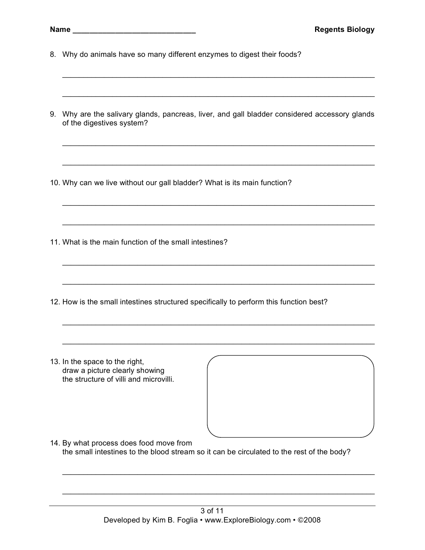- 8. Why do animals have so many different enzymes to digest their foods?
- 9. Why are the salivary glands, pancreas, liver, and gall bladder considered accessory glands of the digestives system?

\_\_\_\_\_\_\_\_\_\_\_\_\_\_\_\_\_\_\_\_\_\_\_\_\_\_\_\_\_\_\_\_\_\_\_\_\_\_\_\_\_\_\_\_\_\_\_\_\_\_\_\_\_\_\_\_\_\_\_\_\_\_\_\_\_\_\_\_\_\_\_\_\_\_\_

\_\_\_\_\_\_\_\_\_\_\_\_\_\_\_\_\_\_\_\_\_\_\_\_\_\_\_\_\_\_\_\_\_\_\_\_\_\_\_\_\_\_\_\_\_\_\_\_\_\_\_\_\_\_\_\_\_\_\_\_\_\_\_\_\_\_\_\_\_\_\_\_\_\_\_

\_\_\_\_\_\_\_\_\_\_\_\_\_\_\_\_\_\_\_\_\_\_\_\_\_\_\_\_\_\_\_\_\_\_\_\_\_\_\_\_\_\_\_\_\_\_\_\_\_\_\_\_\_\_\_\_\_\_\_\_\_\_\_\_\_\_\_\_\_\_\_\_\_\_\_

\_\_\_\_\_\_\_\_\_\_\_\_\_\_\_\_\_\_\_\_\_\_\_\_\_\_\_\_\_\_\_\_\_\_\_\_\_\_\_\_\_\_\_\_\_\_\_\_\_\_\_\_\_\_\_\_\_\_\_\_\_\_\_\_\_\_\_\_\_\_\_\_\_\_\_

\_\_\_\_\_\_\_\_\_\_\_\_\_\_\_\_\_\_\_\_\_\_\_\_\_\_\_\_\_\_\_\_\_\_\_\_\_\_\_\_\_\_\_\_\_\_\_\_\_\_\_\_\_\_\_\_\_\_\_\_\_\_\_\_\_\_\_\_\_\_\_\_\_\_\_

\_\_\_\_\_\_\_\_\_\_\_\_\_\_\_\_\_\_\_\_\_\_\_\_\_\_\_\_\_\_\_\_\_\_\_\_\_\_\_\_\_\_\_\_\_\_\_\_\_\_\_\_\_\_\_\_\_\_\_\_\_\_\_\_\_\_\_\_\_\_\_\_\_\_\_

\_\_\_\_\_\_\_\_\_\_\_\_\_\_\_\_\_\_\_\_\_\_\_\_\_\_\_\_\_\_\_\_\_\_\_\_\_\_\_\_\_\_\_\_\_\_\_\_\_\_\_\_\_\_\_\_\_\_\_\_\_\_\_\_\_\_\_\_\_\_\_\_\_\_\_

\_\_\_\_\_\_\_\_\_\_\_\_\_\_\_\_\_\_\_\_\_\_\_\_\_\_\_\_\_\_\_\_\_\_\_\_\_\_\_\_\_\_\_\_\_\_\_\_\_\_\_\_\_\_\_\_\_\_\_\_\_\_\_\_\_\_\_\_\_\_\_\_\_\_\_

 $\mathcal{L}_\text{max}$  , and the contribution of the contribution of the contribution of the contribution of the contribution of the contribution of the contribution of the contribution of the contribution of the contribution of t

\_\_\_\_\_\_\_\_\_\_\_\_\_\_\_\_\_\_\_\_\_\_\_\_\_\_\_\_\_\_\_\_\_\_\_\_\_\_\_\_\_\_\_\_\_\_\_\_\_\_\_\_\_\_\_\_\_\_\_\_\_\_\_\_\_\_\_\_\_\_\_\_\_\_\_

- 10. Why can we live without our gall bladder? What is its main function?
- 11. What is the main function of the small intestines?
- 12. How is the small intestines structured specifically to perform this function best?
- 13. In the space to the right, draw a picture clearly showing the structure of villi and microvilli.



14. By what process does food move from the small intestines to the blood stream so it can be circulated to the rest of the body?

\_\_\_\_\_\_\_\_\_\_\_\_\_\_\_\_\_\_\_\_\_\_\_\_\_\_\_\_\_\_\_\_\_\_\_\_\_\_\_\_\_\_\_\_\_\_\_\_\_\_\_\_\_\_\_\_\_\_\_\_\_\_\_\_\_\_\_\_\_\_\_\_\_\_\_

\_\_\_\_\_\_\_\_\_\_\_\_\_\_\_\_\_\_\_\_\_\_\_\_\_\_\_\_\_\_\_\_\_\_\_\_\_\_\_\_\_\_\_\_\_\_\_\_\_\_\_\_\_\_\_\_\_\_\_\_\_\_\_\_\_\_\_\_\_\_\_\_\_\_\_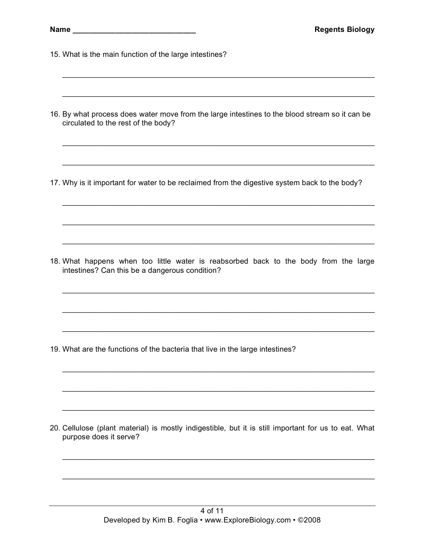- 15. What is the main function of the large intestines?
- 16. By what process does water move from the large intestines to the blood stream so it can be circulated to the rest of the body?

\_\_\_\_\_\_\_\_\_\_\_\_\_\_\_\_\_\_\_\_\_\_\_\_\_\_\_\_\_\_\_\_\_\_\_\_\_\_\_\_\_\_\_\_\_\_\_\_\_\_\_\_\_\_\_\_\_\_\_\_\_\_\_\_\_\_\_\_\_\_\_\_\_\_\_

\_\_\_\_\_\_\_\_\_\_\_\_\_\_\_\_\_\_\_\_\_\_\_\_\_\_\_\_\_\_\_\_\_\_\_\_\_\_\_\_\_\_\_\_\_\_\_\_\_\_\_\_\_\_\_\_\_\_\_\_\_\_\_\_\_\_\_\_\_\_\_\_\_\_\_

\_\_\_\_\_\_\_\_\_\_\_\_\_\_\_\_\_\_\_\_\_\_\_\_\_\_\_\_\_\_\_\_\_\_\_\_\_\_\_\_\_\_\_\_\_\_\_\_\_\_\_\_\_\_\_\_\_\_\_\_\_\_\_\_\_\_\_\_\_\_\_\_\_\_\_

\_\_\_\_\_\_\_\_\_\_\_\_\_\_\_\_\_\_\_\_\_\_\_\_\_\_\_\_\_\_\_\_\_\_\_\_\_\_\_\_\_\_\_\_\_\_\_\_\_\_\_\_\_\_\_\_\_\_\_\_\_\_\_\_\_\_\_\_\_\_\_\_\_\_\_

\_\_\_\_\_\_\_\_\_\_\_\_\_\_\_\_\_\_\_\_\_\_\_\_\_\_\_\_\_\_\_\_\_\_\_\_\_\_\_\_\_\_\_\_\_\_\_\_\_\_\_\_\_\_\_\_\_\_\_\_\_\_\_\_\_\_\_\_\_\_\_\_\_\_\_

\_\_\_\_\_\_\_\_\_\_\_\_\_\_\_\_\_\_\_\_\_\_\_\_\_\_\_\_\_\_\_\_\_\_\_\_\_\_\_\_\_\_\_\_\_\_\_\_\_\_\_\_\_\_\_\_\_\_\_\_\_\_\_\_\_\_\_\_\_\_\_\_\_\_\_

\_\_\_\_\_\_\_\_\_\_\_\_\_\_\_\_\_\_\_\_\_\_\_\_\_\_\_\_\_\_\_\_\_\_\_\_\_\_\_\_\_\_\_\_\_\_\_\_\_\_\_\_\_\_\_\_\_\_\_\_\_\_\_\_\_\_\_\_\_\_\_\_\_\_\_

\_\_\_\_\_\_\_\_\_\_\_\_\_\_\_\_\_\_\_\_\_\_\_\_\_\_\_\_\_\_\_\_\_\_\_\_\_\_\_\_\_\_\_\_\_\_\_\_\_\_\_\_\_\_\_\_\_\_\_\_\_\_\_\_\_\_\_\_\_\_\_\_\_\_\_

 $\mathcal{L}_\text{max}$  , and the contribution of the contribution of the contribution of the contribution of the contribution of the contribution of the contribution of the contribution of the contribution of the contribution of t

\_\_\_\_\_\_\_\_\_\_\_\_\_\_\_\_\_\_\_\_\_\_\_\_\_\_\_\_\_\_\_\_\_\_\_\_\_\_\_\_\_\_\_\_\_\_\_\_\_\_\_\_\_\_\_\_\_\_\_\_\_\_\_\_\_\_\_\_\_\_\_\_\_\_\_

\_\_\_\_\_\_\_\_\_\_\_\_\_\_\_\_\_\_\_\_\_\_\_\_\_\_\_\_\_\_\_\_\_\_\_\_\_\_\_\_\_\_\_\_\_\_\_\_\_\_\_\_\_\_\_\_\_\_\_\_\_\_\_\_\_\_\_\_\_\_\_\_\_\_\_

\_\_\_\_\_\_\_\_\_\_\_\_\_\_\_\_\_\_\_\_\_\_\_\_\_\_\_\_\_\_\_\_\_\_\_\_\_\_\_\_\_\_\_\_\_\_\_\_\_\_\_\_\_\_\_\_\_\_\_\_\_\_\_\_\_\_\_\_\_\_\_\_\_\_\_

\_\_\_\_\_\_\_\_\_\_\_\_\_\_\_\_\_\_\_\_\_\_\_\_\_\_\_\_\_\_\_\_\_\_\_\_\_\_\_\_\_\_\_\_\_\_\_\_\_\_\_\_\_\_\_\_\_\_\_\_\_\_\_\_\_\_\_\_\_\_\_\_\_\_\_

\_\_\_\_\_\_\_\_\_\_\_\_\_\_\_\_\_\_\_\_\_\_\_\_\_\_\_\_\_\_\_\_\_\_\_\_\_\_\_\_\_\_\_\_\_\_\_\_\_\_\_\_\_\_\_\_\_\_\_\_\_\_\_\_\_\_\_\_\_\_\_\_\_\_\_

\_\_\_\_\_\_\_\_\_\_\_\_\_\_\_\_\_\_\_\_\_\_\_\_\_\_\_\_\_\_\_\_\_\_\_\_\_\_\_\_\_\_\_\_\_\_\_\_\_\_\_\_\_\_\_\_\_\_\_\_\_\_\_\_\_\_\_\_\_\_\_\_\_\_\_

17. Why is it important for water to be reclaimed from the digestive system back to the body?

18. What happens when too little water is reabsorbed back to the body from the large intestines? Can this be a dangerous condition?

19. What are the functions of the bacteria that live in the large intestines?

20. Cellulose (plant material) is mostly indigestible, but it is still important for us to eat. What purpose does it serve?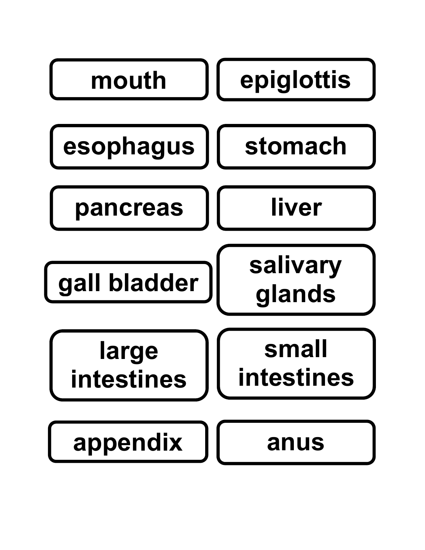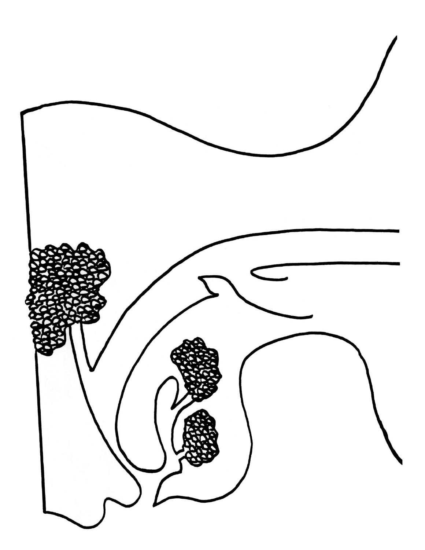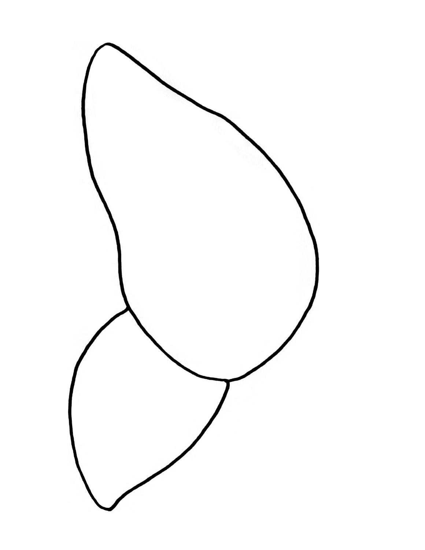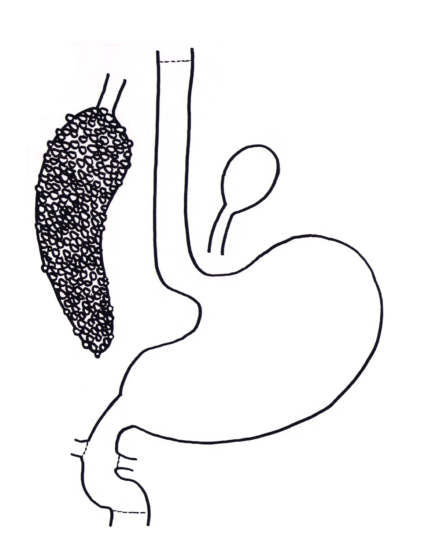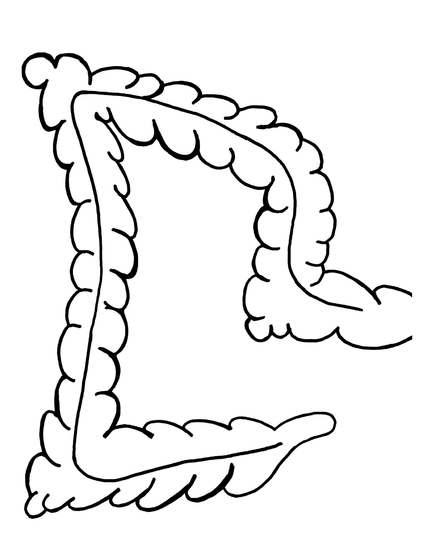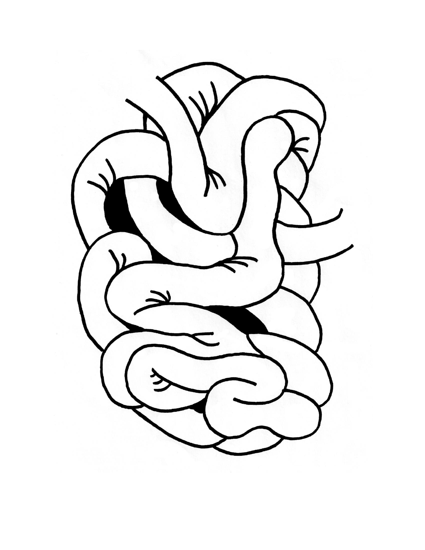